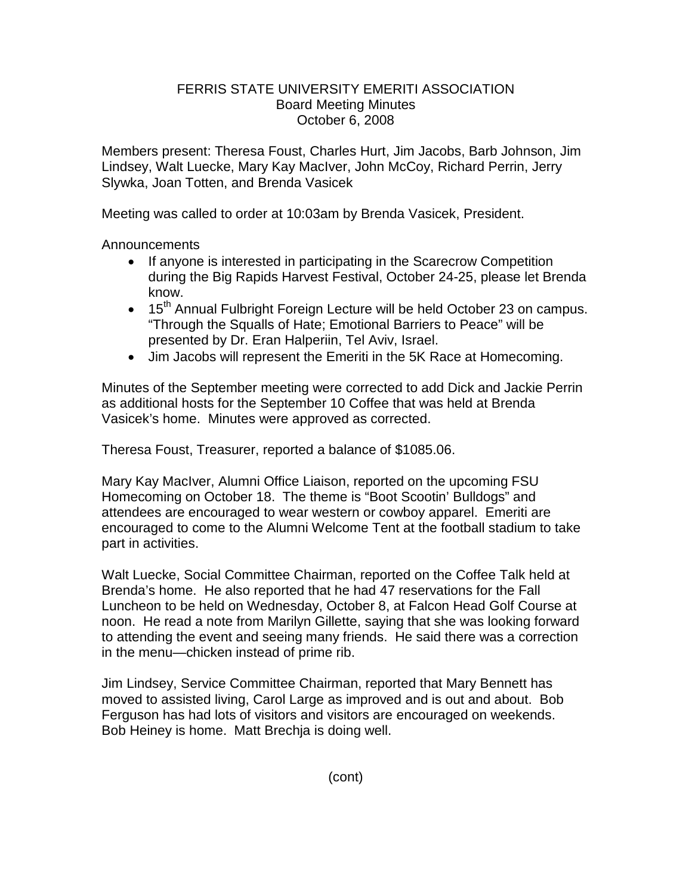## FERRIS STATE UNIVERSITY EMERITI ASSOCIATION Board Meeting Minutes October 6, 2008

Members present: Theresa Foust, Charles Hurt, Jim Jacobs, Barb Johnson, Jim Lindsey, Walt Luecke, Mary Kay MacIver, John McCoy, Richard Perrin, Jerry Slywka, Joan Totten, and Brenda Vasicek

Meeting was called to order at 10:03am by Brenda Vasicek, President.

Announcements

- If anyone is interested in participating in the Scarecrow Competition during the Big Rapids Harvest Festival, October 24-25, please let Brenda know.
- 15<sup>th</sup> Annual Fulbright Foreign Lecture will be held October 23 on campus. "Through the Squalls of Hate; Emotional Barriers to Peace" will be presented by Dr. Eran Halperiin, Tel Aviv, Israel.
- Jim Jacobs will represent the Emeriti in the 5K Race at Homecoming.

Minutes of the September meeting were corrected to add Dick and Jackie Perrin as additional hosts for the September 10 Coffee that was held at Brenda Vasicek's home. Minutes were approved as corrected.

Theresa Foust, Treasurer, reported a balance of \$1085.06.

Mary Kay MacIver, Alumni Office Liaison, reported on the upcoming FSU Homecoming on October 18. The theme is "Boot Scootin' Bulldogs" and attendees are encouraged to wear western or cowboy apparel. Emeriti are encouraged to come to the Alumni Welcome Tent at the football stadium to take part in activities.

Walt Luecke, Social Committee Chairman, reported on the Coffee Talk held at Brenda's home. He also reported that he had 47 reservations for the Fall Luncheon to be held on Wednesday, October 8, at Falcon Head Golf Course at noon. He read a note from Marilyn Gillette, saying that she was looking forward to attending the event and seeing many friends. He said there was a correction in the menu—chicken instead of prime rib.

Jim Lindsey, Service Committee Chairman, reported that Mary Bennett has moved to assisted living, Carol Large as improved and is out and about. Bob Ferguson has had lots of visitors and visitors are encouraged on weekends. Bob Heiney is home. Matt Brechja is doing well.

(cont)